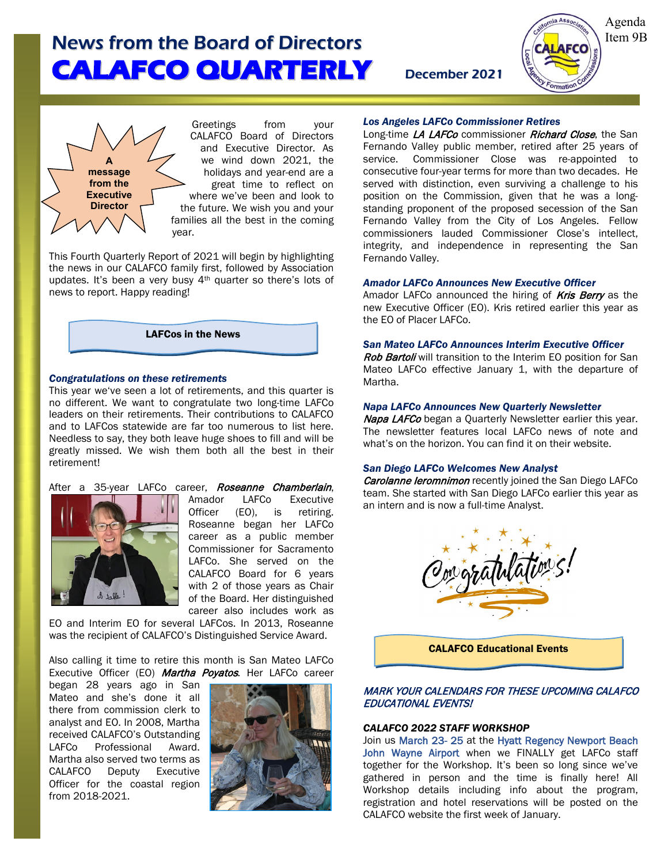Agenda Item 9B



Greetings from your CALAFCO Board of Directors and Executive Director. As we wind down 2021, the holidays and year-end are a great time to reflect on where we've been and look to the future. We wish you and your families all the best in the coming year.

This Fourth Quarterly Report of 2021 will begin by highlighting the news in our CALAFCO family first, followed by Association updates. It's been a very busy 4<sup>th</sup> quarter so there's lots of news to report. Happy reading!



## *Congratulations on these retirements*

This year we've seen a lot of retirements, and this quarter is no different. We want to congratulate two long-time LAFCo leaders on their retirements. Their contributions to CALAFCO and to LAFCos statewide are far too numerous to list here. Needless to say, they both leave huge shoes to fill and will be greatly missed. We wish them both all the best in their retirement!

# After a 35-year LAFCo career, **Roseanne Chamberlain,**<br>**A Contract Chamberlain**, Amador LAFCo Executive



Amador LAFCo Executive Officer (EO), is retiring. Roseanne began her LAFCo career as a public member Commissioner for Sacramento LAFCo. She served on the CALAFCO Board for 6 years with 2 of those years as Chair of the Board. Her distinguished career also includes work as

EO and Interim EO for several LAFCos. In 2013, Roseanne was the recipient of CALAFCO's Distinguished Service Award.

Also calling it time to retire this month is San Mateo LAFCo Executive Officer (EO) Martha Poyatos. Her LAFCo career

began 28 years ago in San Mateo and she's done it all there from commission clerk to analyst and EO. In 2008, Martha received CALAFCO's Outstanding LAFCo Professional Award. Martha also served two terms as CALAFCO Deputy Executive Officer for the coastal region from 2018-2021.



## *Los Angeles LAFCo Commissioner Retires*

Long-time LA LAFCo commissioner Richard Close, the San Fernando Valley public member, retired after 25 years of service. Commissioner Close was re-appointed to consecutive four-year terms for more than two decades. He served with distinction, even surviving a challenge to his position on the Commission, given that he was a longstanding proponent of the proposed secession of the San Fernando Valley from the City of Los Angeles. Fellow commissioners lauded Commissioner Close's intellect, integrity, and independence in representing the San Fernando Valley.

## *Amador LAFCo Announces New Executive Officer*

Amador LAFCo announced the hiring of **Kris Berry** as the new Executive Officer (EO). Kris retired earlier this year as the EO of Placer LAFCo.

# *San Mateo LAFCo Announces Interim Executive Officer*

Rob Bartoli will transition to the Interim EO position for San Mateo LAFCo effective January 1, with the departure of Martha.

### *Napa LAFCo Announces New Quarterly Newsletter*

Napa LAFCo began a Quarterly Newsletter earlier this year. The newsletter features local LAFCo news of note and what's on the horizon. You can find it on their website.

# *San Diego LAFCo Welcomes New Analyst*

Carolanne leromnimon recently joined the San Diego LAFCo team. She started with San Diego LAFCo earlier this year as an intern and is now a full-time Analyst.



CALAFCO Educational Events

# MARK YOUR CALENDARS FOR THESE UPCOMING CALAFCO EDUCATIONAL EVENTS!

## *CALAFCO 2022 STAFF WORKSHOP*

Join us March 23- 25 at the Hyatt Regency Newport Beach John Wayne Airport when we FINALLY get LAFCo staff together for the Workshop. It's been so long since we've gathered in person and the time is finally here! All Workshop details including info about the program, registration and hotel reservations will be posted on the CALAFCO website the first week of January.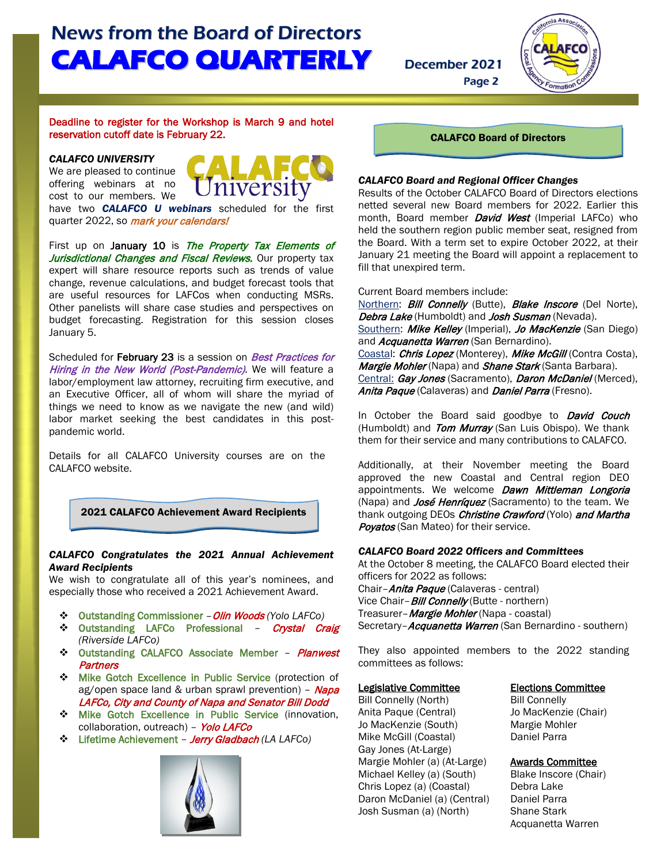

## Deadline to register for the Workshop is March 9 and hotel reservation cutoff date is February 22.

*CALAFCO UNIVERSITY* We are pleased to continue

offering webinars at no cost to our members. We



have two *CALAFCO U webinars* scheduled for the first quarter 2022, so *mark your calendars!* 

First up on January 10 is The Property Tax Elements of Jurisdictional Changes and Fiscal Reviews. Our property tax expert will share resource reports such as trends of value change, revenue calculations, and budget forecast tools that are useful resources for LAFCos when conducting MSRs. Other panelists will share case studies and perspectives on budget forecasting. Registration for this session closes January 5.

Scheduled for February 23 is a session on Best Practices for Hiring in the New World (Post-Pandemic). We will feature a labor/employment law attorney, recruiting firm executive, and an Executive Officer, all of whom will share the myriad of things we need to know as we navigate the new (and wild) labor market seeking the best candidates in this postpandemic world.

Details for all CALAFCO University courses are on the CALAFCO website.

2021 CALAFCO Achievement Award Recipients

# *CALAFCO Congratulates the 2021 Annual Achievement Award Recipients*

We wish to congratulate all of this year's nominees, and especially those who received a 2021 Achievement Award.

- Outstanding Commissioner –Olin Woods *(Yolo LAFCo)*
- **↑ Outstanding LAFCo Professional Crystal Craig** *(Riverside LAFCo)*
- **↑ Outstanding CALAFCO Associate Member Planwest Partners**
- $\div$  Mike Gotch Excellence in Public Service (protection of ag/open space land & urban sprawl prevention) - Napa LAFCo, City and County of Napa and Senator Bill Dodd
- **Mike Gotch Excellence in Public Service (innovation,** collaboration, outreach) - Yolo LAFCo
- Lifetime Achievement Jerry Gladbach *(LA LAFCo)*



CALAFCO Board of Directors

Page 2

# *CALAFCO Board and Regional Officer Changes*

Results of the October CALAFCO Board of Directors elections netted several new Board members for 2022. Earlier this month, Board member *David West* (Imperial LAFCo) who held the southern region public member seat, resigned from the Board. With a term set to expire October 2022, at their January 21 meeting the Board will appoint a replacement to fill that unexpired term.

### Current Board members include:

Northern: Bill Connelly (Butte), Blake Inscore (Del Norte), Debra Lake (Humboldt) and Josh Susman (Nevada). Southern: Mike Kelley (Imperial), Jo MacKenzie (San Diego) and Acquanetta Warren (San Bernardino). Coastal: Chris Lopez (Monterey), Mike McGill (Contra Costa), Margie Mohler (Napa) and Shane Stark (Santa Barbara). Central: Gay Jones (Sacramento), Daron McDaniel (Merced), Anita Paque (Calaveras) and Daniel Parra (Fresno).

In October the Board said goodbye to **David Couch** (Humboldt) and Tom Murray (San Luis Obispo). We thank them for their service and many contributions to CALAFCO.

Additionally, at their November meeting the Board approved the new Coastal and Central region DEO appointments. We welcome **Dawn Mittleman Longoria** (Napa) and *José Henríquez* (Sacramento) to the team. We thank outgoing DEOs Christine Crawford (Yolo) and Martha Povatos (San Mateo) for their service.

# *CALAFCO Board 2022 Officers and Committees*

At the October 8 meeting, the CALAFCO Board elected their officers for 2022 as follows: Chair-Anita Paque (Calaveras - central)

Vice Chair-**Bill Connelly** (Butte - northern) Treasurer-*Margie Mohler* (Napa - coastal) Secretary-Acquanetta Warren (San Bernardino - southern)

They also appointed members to the 2022 standing committees as follows:

### Legislative Committee **Elections Committee**

Bill Connelly (North) Bill Connelly Anita Paque (Central) Jo MacKenzie (Chair) Jo MacKenzie (South) Margie Mohler<br>Mike McGill (Coastal) Maniel Parra Mike McGill (Coastal) Gay Jones (At-Large) Margie Mohler (a) (At-Large) Awards Committee Michael Kelley (a) (South) Blake Inscore (Chair)<br>Chris Lopez (a) (Coastal) Bebra Lake Chris Lopez (a) (Coastal) Debra Lake<br>Daron McDaniel (a) (Central) Daniel Parra Daron McDaniel (a) (Central) Daniel Parra<br>Josh Susman (a) (North) Shane Stark Josh Susman (a) (North)

Acquanetta Warren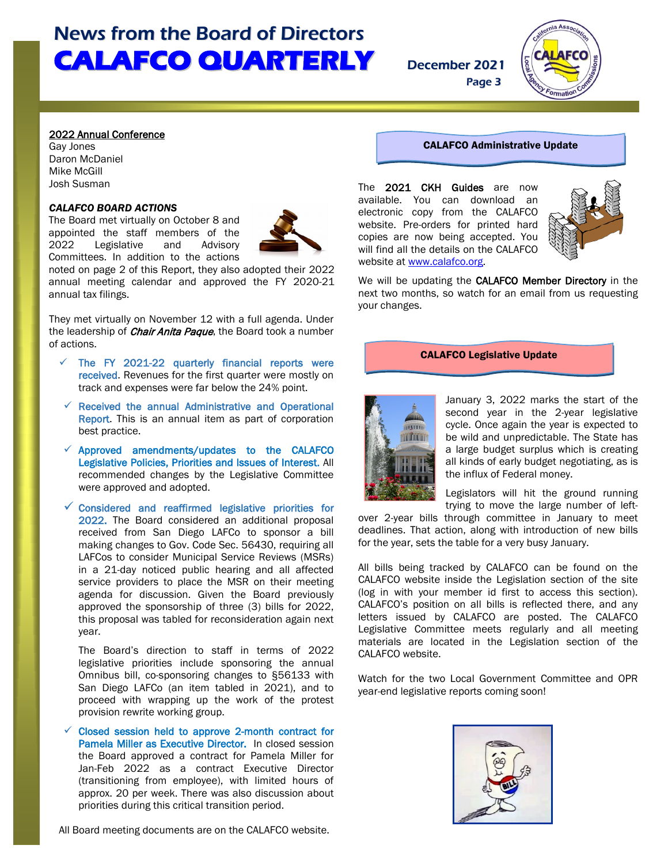

Page 3

## 2022 Annual Conference

Gay Jones Daron McDaniel Mike McGill Josh Susman

L l

### *CALAFCO BOARD ACTIONS*

The Board met virtually on October 8 and appointed the staff members of the<br>2022 Legislative and Advisory Legislative and Advisory Committees. In addition to the actions



noted on page 2 of this Report, they also adopted their 2022 annual meeting calendar and approved the FY 2020-21 annual tax filings.

They met virtually on November 12 with a full agenda. Under the leadership of *Chair Anita Paque*, the Board took a number of actions.

- The FY 2021-22 quarterly financial reports were received. Revenues for the first quarter were mostly on track and expenses were far below the 24% point.
- Received the annual Administrative and Operational Report. This is an annual item as part of corporation best practice.
- $\checkmark$  Approved amendments/updates to the CALAFCO Legislative Policies, Priorities and Issues of Interest. All recommended changes by the Legislative Committee were approved and adopted.
- Considered and reaffirmed legislative priorities for 2022. The Board considered an additional proposal received from San Diego LAFCo to sponsor a bill making changes to Gov. Code Sec. 56430, requiring all LAFCos to consider Municipal Service Reviews (MSRs) in a 21-day noticed public hearing and all affected service providers to place the MSR on their meeting agenda for discussion. Given the Board previously approved the sponsorship of three (3) bills for 2022, this proposal was tabled for reconsideration again next year.

The Board's direction to staff in terms of 2022 legislative priorities include sponsoring the annual Omnibus bill, co-sponsoring changes to §56133 with San Diego LAFCo (an item tabled in 2021), and to proceed with wrapping up the work of the protest provision rewrite working group.

 Closed session held to approve 2-month contract for Pamela Miller as Executive Director. In closed session the Board approved a contract for Pamela Miller for Jan-Feb 2022 as a contract Executive Director (transitioning from employee), with limited hours of approx. 20 per week. There was also discussion about priorities during this critical transition period.

All Board meeting documents are on the CALAFCO website.

# CALAFCO Administrative Update

The 2021 CKH Guides are now available. You can download an electronic copy from the CALAFCO website. Pre-orders for printed hard copies are now being accepted. You will find all the details on the CALAFCO website at [www.calafco.org.](http://www.calafco.org/)



We will be updating the CALAFCO Member Directory in the next two months, so watch for an email from us requesting your changes.

### CALAFCO Legislative Update



January 3, 2022 marks the start of the second year in the 2-year legislative cycle. Once again the year is expected to be wild and unpredictable. The State has a large budget surplus which is creating all kinds of early budget negotiating, as is the influx of Federal money.

Legislators will hit the ground running trying to move the large number of left-

over 2-year bills through committee in January to meet deadlines. That action, along with introduction of new bills for the year, sets the table for a very busy January.

All bills being tracked by CALAFCO can be found on the CALAFCO website inside the Legislation section of the site (log in with your member id first to access this section). CALAFCO's position on all bills is reflected there, and any letters issued by CALAFCO are posted. The CALAFCO Legislative Committee meets regularly and all meeting materials are located in the Legislation section of the CALAFCO website.

Watch for the two Local Government Committee and OPR year-end legislative reports coming soon!